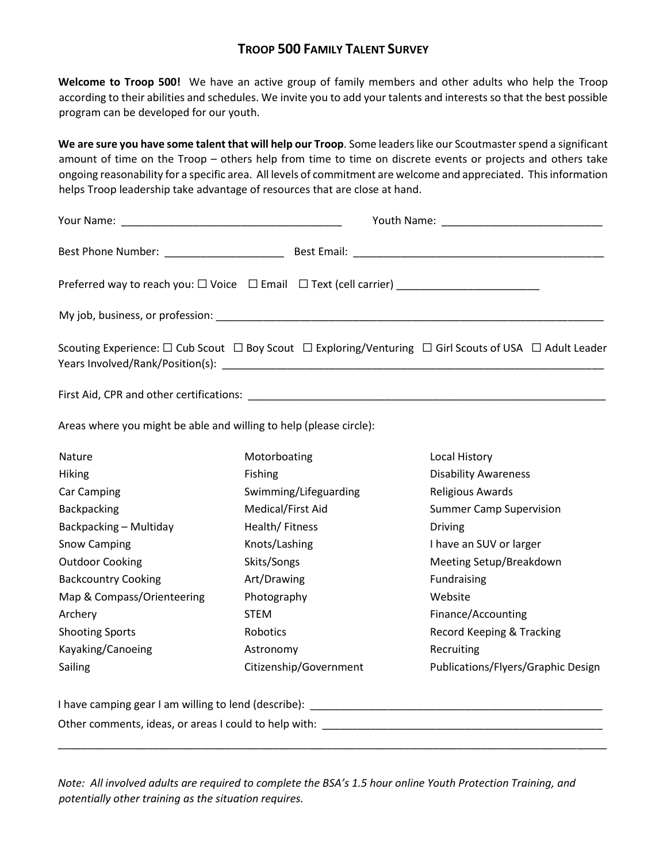## **TROOP 500 FAMILY TALENT SURVEY**

**Welcome to Troop 500!** We have an active group of family members and other adults who help the Troop according to their abilities and schedules. We invite you to add your talents and interests so that the best possible program can be developed for our youth.

**We are sure you have some talent that will help our Troop**. Some leaders like our Scoutmaster spend a significant amount of time on the Troop – others help from time to time on discrete events or projects and others take ongoing reasonability for a specific area. All levels of commitment are welcome and appreciated. This information helps Troop leadership take advantage of resources that are close at hand.

| Preferred way to reach you: □ Voice □ Email □ Text (cell carrier) _____________________ |                        |                                                                                                                                 |  |  |  |  |  |
|-----------------------------------------------------------------------------------------|------------------------|---------------------------------------------------------------------------------------------------------------------------------|--|--|--|--|--|
|                                                                                         |                        |                                                                                                                                 |  |  |  |  |  |
|                                                                                         |                        | Scouting Experience: $\Box$ Cub Scout $\Box$ Boy Scout $\Box$ Exploring/Venturing $\Box$ Girl Scouts of USA $\Box$ Adult Leader |  |  |  |  |  |
|                                                                                         |                        |                                                                                                                                 |  |  |  |  |  |
| Areas where you might be able and willing to help (please circle):                      |                        |                                                                                                                                 |  |  |  |  |  |
| Nature                                                                                  | Motorboating           | Local History                                                                                                                   |  |  |  |  |  |
| Hiking                                                                                  | Fishing                | <b>Disability Awareness</b>                                                                                                     |  |  |  |  |  |
| <b>Car Camping</b>                                                                      | Swimming/Lifeguarding  | <b>Religious Awards</b>                                                                                                         |  |  |  |  |  |
| Backpacking                                                                             | Medical/First Aid      | <b>Summer Camp Supervision</b>                                                                                                  |  |  |  |  |  |
| Backpacking - Multiday                                                                  | Health/Fitness         | <b>Driving</b>                                                                                                                  |  |  |  |  |  |
| <b>Snow Camping</b>                                                                     | Knots/Lashing          | I have an SUV or larger                                                                                                         |  |  |  |  |  |
| <b>Outdoor Cooking</b>                                                                  | Skits/Songs            | Meeting Setup/Breakdown                                                                                                         |  |  |  |  |  |
| <b>Backcountry Cooking</b>                                                              | Art/Drawing            | Fundraising                                                                                                                     |  |  |  |  |  |
| Map & Compass/Orienteering                                                              | Photography            | Website                                                                                                                         |  |  |  |  |  |
| Archery                                                                                 | <b>STEM</b>            | Finance/Accounting                                                                                                              |  |  |  |  |  |
| <b>Shooting Sports</b>                                                                  | Robotics               | Record Keeping & Tracking                                                                                                       |  |  |  |  |  |
| Kayaking/Canoeing                                                                       | Astronomy              | Recruiting                                                                                                                      |  |  |  |  |  |
| Sailing                                                                                 | Citizenship/Government | Publications/Flyers/Graphic Design                                                                                              |  |  |  |  |  |
|                                                                                         |                        |                                                                                                                                 |  |  |  |  |  |
| Other comments, ideas, or areas I could to help with:                                   |                        |                                                                                                                                 |  |  |  |  |  |

*Note: All involved adults are required to complete the BSA's 1.5 hour online Youth Protection Training, and potentially other training as the situation requires.*

\_\_\_\_\_\_\_\_\_\_\_\_\_\_\_\_\_\_\_\_\_\_\_\_\_\_\_\_\_\_\_\_\_\_\_\_\_\_\_\_\_\_\_\_\_\_\_\_\_\_\_\_\_\_\_\_\_\_\_\_\_\_\_\_\_\_\_\_\_\_\_\_\_\_\_\_\_\_\_\_\_\_\_\_\_\_\_\_\_\_\_\_